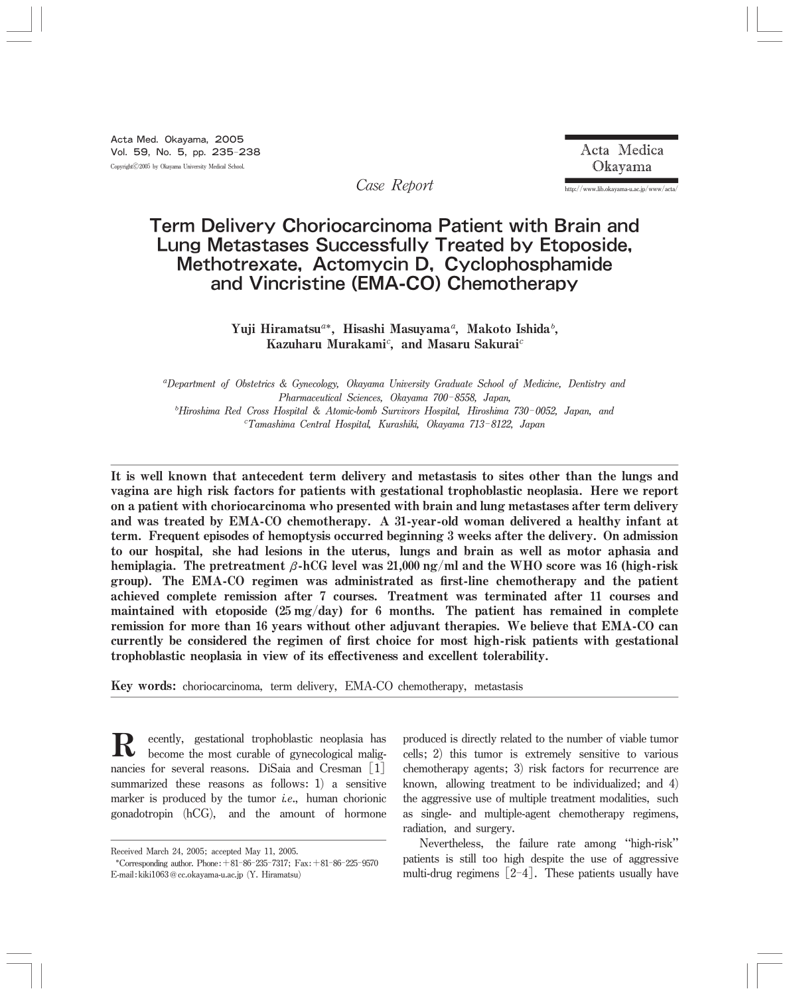http://www.lib.okayama-u.ac.jp/www/acta/

# Term Delivery Choriocarcinoma Patient with Brain and Lung Metastases Successfully Treated by Etoposide, Methotrexate, Actomycin D, Cyclophosphamide and Vincristine (EMA-CO) Chemotherapy

Case Report

Yuji Hiramatsu<sup>a\*</sup>, Hisashi Masuyama<sup>a</sup>, Makoto Ishida<sup>*b*</sup>, Kazuharu Murakami<sup>c</sup>, and Masaru Sakurai<sup>c</sup>

<sup>a</sup>Department of Obstetrics & Gynecology, Okayama University Graduate School of Medicine, Dentistry and Pharmaceutical Sciences, Okayama 700-8558, Japan, <sup>b</sup>Hiroshima Red Cross Hospital & Atomic-bomb Survivors Hospital, Hiroshima 730-0052, Japan, and 욑Tamashima Central Hospital, Kurashiki, Okayama 713-8122, Japan

It is well known that antecedent term delivery and metastasis to sites other than the lungs and vagina are high risk factors for patients with gestational trophoblastic neoplasia. Here we report on a patient with choriocarcinoma who presented with brain and lung metastases after term delivery and was treated by EMA-CO chemotherapy. A 31-year-old woman delivered a healthy infant at term. Frequent episodes of hemoptysis occurred beginning 3 weeks after the delivery. On admission to our hospital, she had lesions in the uterus, lungs and brain as well as motor aphasia and hemiplagia. The pretreatment β-hCG level was 21,000 ng/ml and the WHO score was 16 (high-risk group). The EMA-CO regimen was administrated as first-line chemotherapy and the patient achieved complete remission after 7 courses. Treatment was terminated after 11 courses and maintained with etoposide  $(25 \text{ mg/day})$  for 6 months. The patient has remained in complete remission for more than 16 years without other adjuvant therapies. We believe that EMA-CO can currently be considered the regimen of first choice for most high-risk patients with gestational trophoblastic neoplasia in view of its effectiveness and excellent tolerability.

Key words: choriocarcinoma, term delivery, EMA-CO chemotherapy, metastasis

**R** ecently, gestational trophoblastic neoplasia has<br>become the most curable of gynecological malig-<br>parameters for example passage. DiSsis and Crossman [1] nancies for several reasons. DiSaia and Cresman [1] summarized these reasons as follows:1) a sensitive marker is produced by the tumor *i.e.*, human chorionic gonadotropin (hCG), and the amount of hormone

produced is directly related to the number of viable tumor cells;2) this tumor is extremely sensitive to various chemotherapy agents;  $3$  risk factors for recurrence are known, allowing treatment to be individualized; and  $4$ ) the aggressive use of multiple treatment modalities, such as single-and multiple-agent chemotherapy regimens, radiation, and surgery.

Nevertheless, the failure rate among "high-risk" patients is still too high despite the use of aggressive multi-drug regimens  $[2-4]$ . These patients usually have

Received March 24, 2005; accepted May 11, 2005.

<sup>\*</sup>Corresponding author. Phone:  $+81-86-235-7317$ ; Fax:  $+81-86-225-9570$ E-mail:kiki1063@cc.okayama-u.ac.jp (Y.Hiramatsu)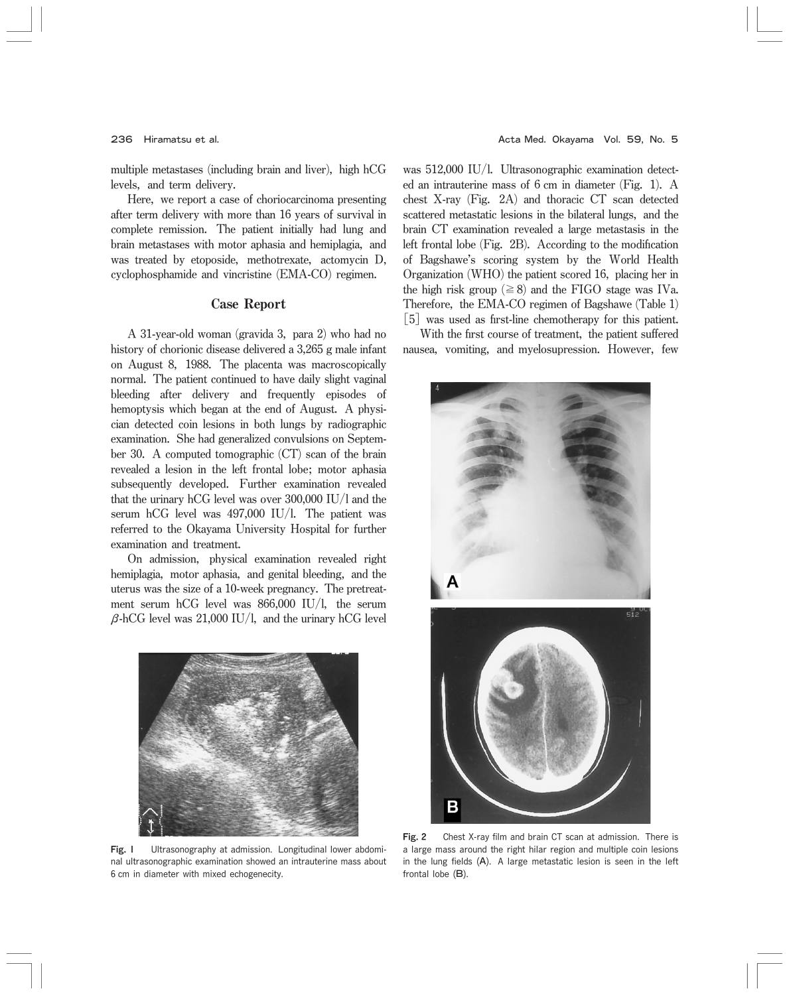multiple metastases (including brain and liver), high hCG levels, and term delivery.

Here, we report a case of choriocarcinoma presenting after term delivery with more than 16 years of survival in complete remission. The patient initially had lung and brain metastases with motor aphasia and hemiplagia, and was treated by etoposide, methotrexate, actomycin D, cyclophosphamide and vincristine (EMA-CO) regimen.

### Case Report

A 31-year-old woman (gravida 3, para 2) who had no history of chorionic disease delivered a 3,265 g male infant on August 8, 1988. The placenta was macroscopically normal. The patient continued to have daily slight vaginal bleeding after delivery and frequently episodes of hemoptysis which began at the end of August. A physician detected coin lesions in both lungs by radiographic examination. She had generalized convulsions on September 30. A computed tomographic  $(CT)$  scan of the brain revealed a lesion in the left frontal lobe; motor aphasia subsequently developed. Further examination revealed that the urinary hCG level was over  $300,000$  IU/l and the serum hCG level was 497,000 IU/l. The patient was referred to the Okayama University Hospital for further examination and treatment.

On admission, physical examination revealed right hemiplagia, motor aphasia, and genital bleeding, and the uterus was the size of a 10-week pregnancy. The pretreatment serum hCG level was 866,000 IU/l, the serum  $\beta$ -hCG level was 21,000 IU/l, and the urinary hCG level



Fig. I Ultrasonography at admission. Longitudinal lower abdominal ultrasonographic examination showed an intrauterine mass about 6 cm in diameter with mixed echogenecity.

was  $512,000$  IU/l. Ultrasonographic examination detected an intrauterine mass of  $6 \text{ cm}$  in diameter (Fig. 1). A chest X-ray (Fig. 2A) and thoracic CT scan detected scattered metastatic lesions in the bilateral lungs, and the brain CT examination revealed a large metastasis in the left frontal lobe  $(Fig. 2B)$ . According to the modification of Bagshawe's scoring system by the World Health Organization (WHO) the patient scored 16, placing her in the high risk group ( $\geq$ 8) and the FIGO stage was IVa. Therefore, the EMA-CO regimen of Bagshawe (Table 1) [5] was used as first-line chemotherapy for this patient.

With the first course of treatment, the patient suffered nausea, vomiting, and myelosupression. However, few



Fig. 2 Chest X-ray film and brain CT scan at admission. There is a large mass around the right hilar region and multiple coin lesions in the lung fields  $(A)$ . A large metastatic lesion is seen in the left frontal lobe  $(B)$ .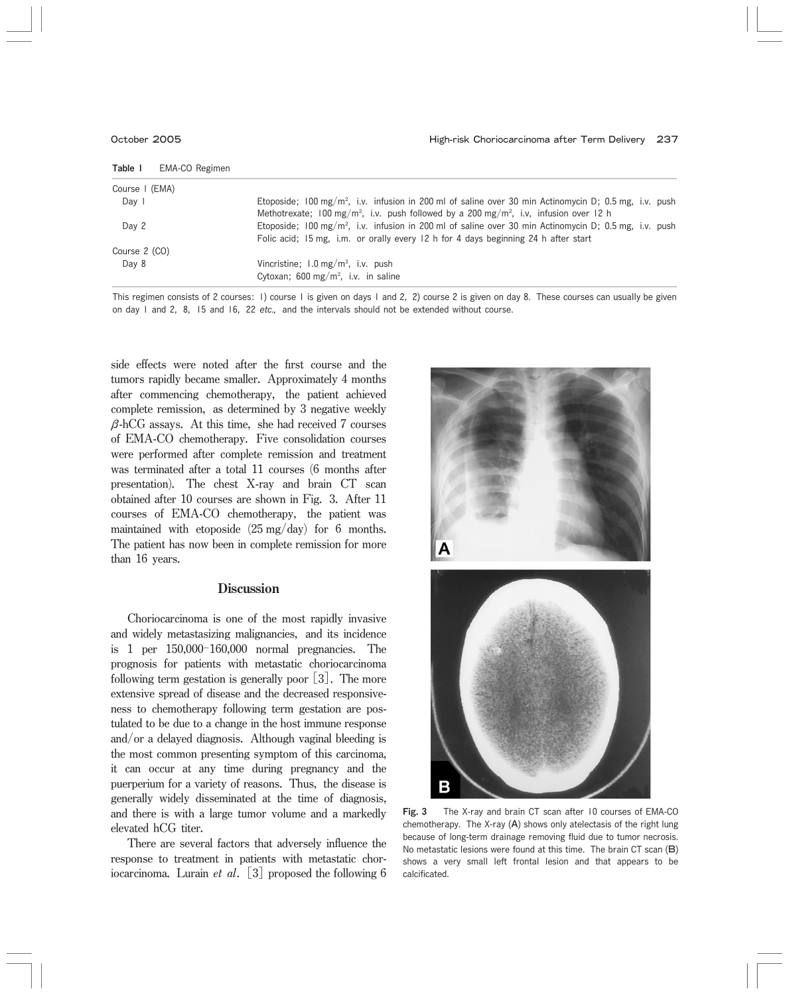| Table I<br>EMA-CO Regimen |                                                                                                                   |
|---------------------------|-------------------------------------------------------------------------------------------------------------------|
| Course   (EMA)            |                                                                                                                   |
| Day I                     | Etoposide; 100 mg/m <sup>2</sup> , i.v. infusion in 200 ml of saline over 30 min Actinomycin D; 0.5 mg, i.v. push |
|                           | Methotrexate; 100 mg/m <sup>2</sup> , i.v. push followed by a 200 mg/m <sup>2</sup> , i.v. infusion over 12 h     |
| Day 2                     | Etoposide: 100 mg/m <sup>2</sup> , i.v. infusion in 200 ml of saline over 30 min Actinomycin D: 0.5 mg, i.v. push |
|                           | Folic acid; 15 mg, i.m. or orally every 12 h for 4 days beginning 24 h after start                                |
| Course 2 (CO)             |                                                                                                                   |
| Day 8                     | Vincristine; $1.0 \text{ mg/m}^2$ , i.v. push                                                                     |
|                           | Cytoxan: 600 mg/m <sup>2</sup> , i.v. in saline                                                                   |

This regimen consists of 2 courses: 1) course 1 is given on days 1 and 2, 2) course 2 is given on day 8. These courses can usually be given on day 1 and 2, 8, 15 and 16, 22 etc., and the intervals should not be extended without course.

side effects were noted after the first course and the tumors rapidly became smaller. Approximately 4 months after commencing chemotherapy, the patient achieved complete remission, as determined by 3 negative weekly  $\beta$ -hCG assays. At this time, she had received 7 courses of EMA-CO chemotherapy. Five consolidation courses were performed after complete remission and treatment was terminated after a total 11 courses (6 months after presentation). The chest X-ray and brain CT scan obtained after 10 courses are shown in Fig. 3. After 11 courses of EMA-CO chemotherapy, the patient was maintained with etoposide  $(25 \text{ mg/day})$  for 6 months. The patient has now been in complete remission for more than 16 years.

## **Discussion**

Choriocarcinoma is one of the most rapidly invasive and widely metastasizing malignancies, and its incidence is 1 per 150,000-160,000 normal pregnancies. The prognosis for patients with metastatic choriocarcinoma following term gestation is generally poor  $\lceil 3 \rceil$ . The more extensive spread of disease and the decreased responsiveness to chemotherapy following term gestation are postulated to be due to a change in the host immune response and/or a delayed diagnosis. Although vaginal bleeding is the most common presenting symptom of this carcinoma, it can occur at any time during pregnancy and the puerperium for a variety of reasons. Thus, the disease is generally widely disseminated at the time of diagnosis, and there is with a large tumor volume and a markedly elevated hCG titer.

There are several factors that adversely influence the response to treatment in patients with metastatic choriocarcinoma. Lurain *et al.* [3] proposed the following 6



Fig. 3 The X-ray and brain CT scan after 10 courses of EMA-CO chemotherapy. The X-ray  $(A)$  shows only atelectasis of the right lung because of long-term drainage removing fluid due to tumor necrosis. No metastatic lesions were found at this time. The brain  $CT$  scan  $(B)$ shows a very small left frontal lesion and that appears to be calcificated.